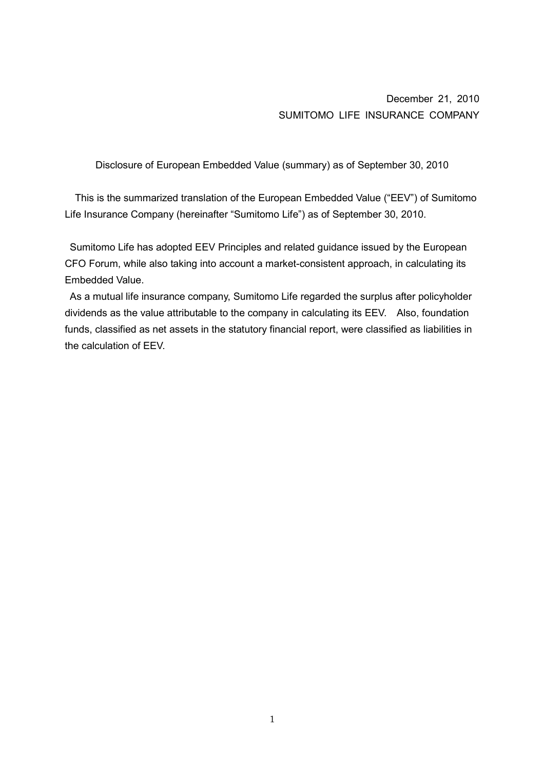December 21, 2010 SUMITOMO LIFE INSURANCE COMPANY

Disclosure of European Embedded Value (summary) as of September 30, 2010

This is the summarized translation of the European Embedded Value ("EEV") of Sumitomo Life Insurance Company (hereinafter "Sumitomo Life") as of September 30, 2010.

 Sumitomo Life has adopted EEV Principles and related guidance issued by the European CFO Forum, while also taking into account a market-consistent approach, in calculating its Embedded Value.

 As a mutual life insurance company, Sumitomo Life regarded the surplus after policyholder dividends as the value attributable to the company in calculating its EEV. Also, foundation funds, classified as net assets in the statutory financial report, were classified as liabilities in the calculation of EEV.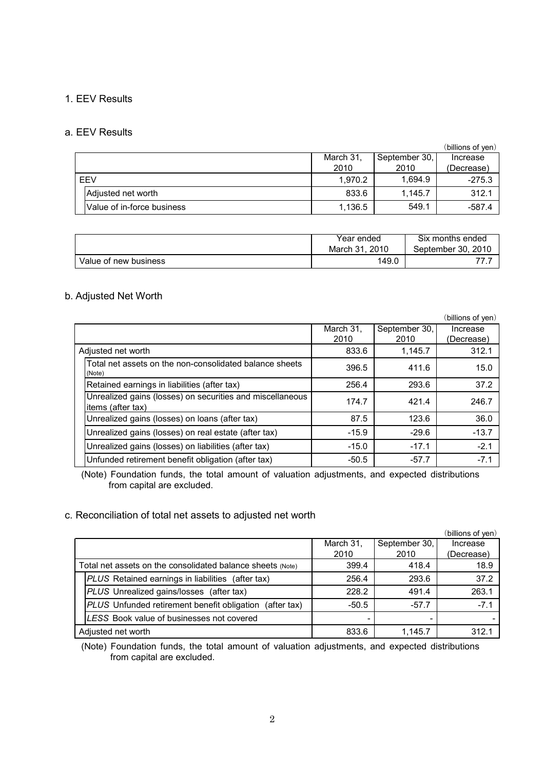## 1. EEV Results

### a. EEV Results

|                            |           |               | (billions of yen) |
|----------------------------|-----------|---------------|-------------------|
|                            | March 31, | September 30, | Increase          |
|                            | 2010      | 2010          | (Decrease)        |
| EEV                        | 1,970.2   | 1.694.9       | $-275.3$          |
| Adjusted net worth         | 833.6     | 1,145.7       | 312.1             |
| Value of in-force business | 1,136.5   | 549.1         | $-587.4$          |

|                       | Year ended       | Six months ended   |
|-----------------------|------------------|--------------------|
|                       | 2010<br>March 31 | September 30, 2010 |
| Value of new business | 149.0            |                    |

## b. Adjusted Net Worth

|                                                                                |           |               | (billions of yen) |
|--------------------------------------------------------------------------------|-----------|---------------|-------------------|
|                                                                                | March 31, | September 30, | Increase          |
|                                                                                | 2010      | 2010          | (Decrease)        |
| Adjusted net worth                                                             | 833.6     | 1,145.7       | 312.1             |
| Total net assets on the non-consolidated balance sheets<br>(Note)              | 396.5     | 411.6         | 15.0              |
| Retained earnings in liabilities (after tax)                                   | 256.4     | 293.6         | 37.2              |
| Unrealized gains (losses) on securities and miscellaneous<br>items (after tax) | 174.7     | 421.4         | 246.7             |
| Unrealized gains (losses) on loans (after tax)                                 | 87.5      | 123.6         | 36.0              |
| Unrealized gains (losses) on real estate (after tax)                           | $-15.9$   | $-29.6$       | $-13.7$           |
| Unrealized gains (losses) on liabilities (after tax)                           | $-15.0$   | $-17.1$       | $-2.1$            |
| Unfunded retirement benefit obligation (after tax)                             | $-50.5$   | $-57.7$       | $-7.1$            |

(Note) Foundation funds, the total amount of valuation adjustments, and expected distributions from capital are excluded.

## c. Reconciliation of total net assets to adjusted net worth

|                                                            |                                                            |           |               | (billions of yen) |
|------------------------------------------------------------|------------------------------------------------------------|-----------|---------------|-------------------|
|                                                            |                                                            | March 31, | September 30, | Increase          |
|                                                            |                                                            | 2010      | 2010          | (Decrease)        |
| Total net assets on the consolidated balance sheets (Note) |                                                            | 399.4     | 418.4         | 18.9              |
|                                                            | <b>PLUS</b> Retained earnings in liabilities (after tax)   | 256.4     | 293.6         | 37.2              |
|                                                            | PLUS Unrealized gains/losses (after tax)                   | 228.2     | 491.4         | 263.1             |
|                                                            | PLUS Unfunded retirement benefit obligation<br>(after tax) | $-50.5$   | $-57.7$       | $-7.1$            |
|                                                            | LESS Book value of businesses not covered                  |           |               |                   |
|                                                            | Adjusted net worth                                         | 833.6     | 1,145.7       | 312.1             |

(Note) Foundation funds, the total amount of valuation adjustments, and expected distributions from capital are excluded.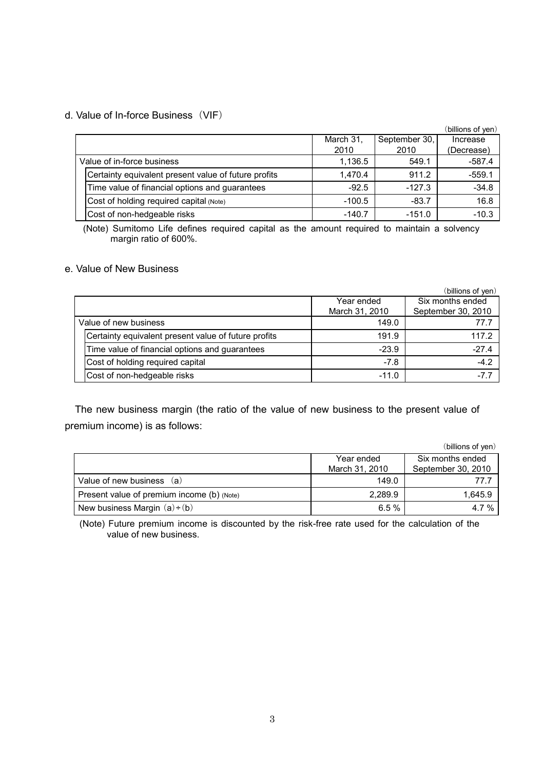## d. Value of In-force Business(VIF)

|                            |                                                      |           |               | (billions of yen) |
|----------------------------|------------------------------------------------------|-----------|---------------|-------------------|
|                            |                                                      | March 31, | September 30, | Increase          |
|                            |                                                      | 2010      | 2010          | (Decrease)        |
| Value of in-force business |                                                      | 1,136.5   | 549.1         | $-587.4$          |
|                            | Certainty equivalent present value of future profits | 1.470.4   | 911.2         | $-559.1$          |
|                            | Time value of financial options and guarantees       | $-92.5$   | $-127.3$      | $-34.8$           |
|                            | Cost of holding required capital (Note)              | $-100.5$  | $-83.7$       | 16.8              |
|                            | Cost of non-hedgeable risks                          | $-140.7$  | $-151.0$      | $-10.3$           |

(Note) Sumitomo Life defines required capital as the amount required to maintain a solvency margin ratio of 600%.

## e. Value of New Business

|                                                      |                | (billions of yen)  |
|------------------------------------------------------|----------------|--------------------|
|                                                      | Year ended     | Six months ended   |
|                                                      | March 31, 2010 | September 30, 2010 |
| Value of new business                                | 149.0          | 77.7               |
| Certainty equivalent present value of future profits | 191.9          | 117.2              |
| Time value of financial options and guarantees       | $-23.9$        | $-27.4$            |
| Cost of holding required capital                     | $-7.8$         | $-4.2$             |
| Cost of non-hedgeable risks                          | $-11.0$        | $-7.7$             |

The new business margin (the ratio of the value of new business to the present value of premium income) is as follows:

|                                            |                | (billions of yen)  |
|--------------------------------------------|----------------|--------------------|
|                                            | Year ended     | Six months ended   |
|                                            | March 31, 2010 | September 30, 2010 |
| Value of new business (a)                  | 149.0          | 77.7               |
| Present value of premium income (b) (Note) | 2.289.9        | 1.645.9            |
| New business Margin $(a)+(b)$              | 6.5%           | 4.7%               |

(Note) Future premium income is discounted by the risk-free rate used for the calculation of the value of new business.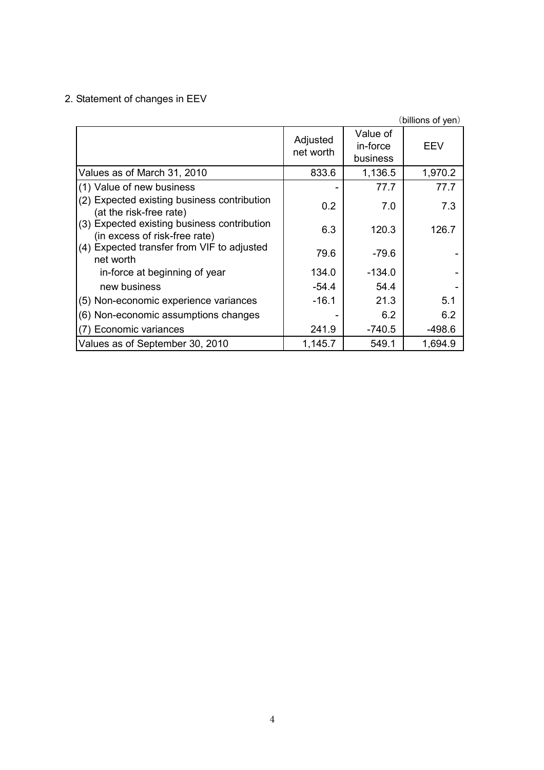# 2. Statement of changes in EEV

|                                                                              |                       |                                  | (billions of yen) |
|------------------------------------------------------------------------------|-----------------------|----------------------------------|-------------------|
|                                                                              | Adjusted<br>net worth | Value of<br>in-force<br>business | EEV               |
| Values as of March 31, 2010                                                  | 833.6                 | 1,136.5                          | 1,970.2           |
| (1) Value of new business                                                    |                       | 77.7                             | 77.7              |
| (2) Expected existing business contribution<br>(at the risk-free rate)       | 0.2                   | 7.0                              | 7.3               |
| (3) Expected existing business contribution<br>(in excess of risk-free rate) | 6.3                   | 120.3                            | 126.7             |
| (4) Expected transfer from VIF to adjusted<br>net worth                      | 79.6                  | $-79.6$                          |                   |
| in-force at beginning of year                                                | 134.0                 | $-134.0$                         |                   |
| new business                                                                 | $-54.4$               | 54.4                             |                   |
| (5) Non-economic experience variances                                        | $-16.1$               | 21.3                             | 5.1               |
| (6) Non-economic assumptions changes                                         |                       | 6.2                              | 6.2               |
| (7) Economic variances                                                       | 241.9                 | $-740.5$                         | $-498.6$          |
| Values as of September 30, 2010                                              | 1,145.7               | 549.1                            | 1,694.9           |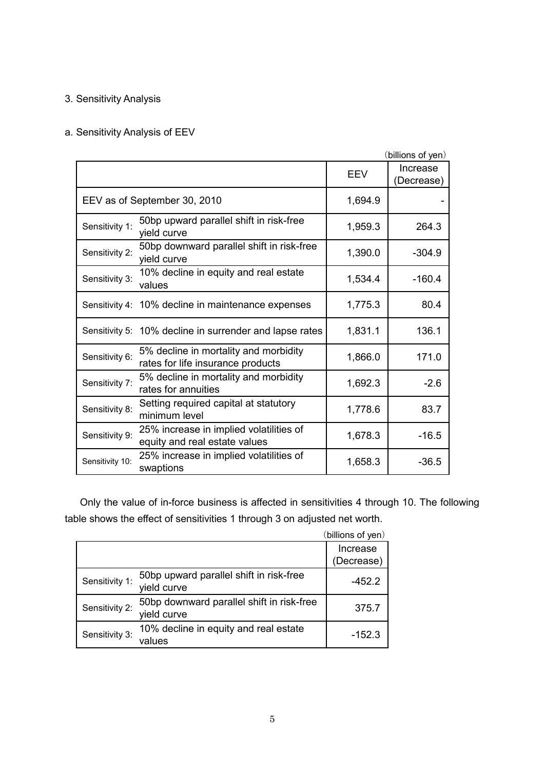## 3. Sensitivity Analysis

## a. Sensitivity Analysis of EEV

|                 |                                                                            |            | (billions of yen)      |
|-----------------|----------------------------------------------------------------------------|------------|------------------------|
|                 |                                                                            | <b>EEV</b> | Increase<br>(Decrease) |
|                 | EEV as of September 30, 2010                                               | 1,694.9    |                        |
| Sensitivity 1:  | 50bp upward parallel shift in risk-free<br>yield curve                     | 1,959.3    | 264.3                  |
| Sensitivity 2:  | 50bp downward parallel shift in risk-free<br>yield curve                   | 1,390.0    | $-304.9$               |
| Sensitivity 3:  | 10% decline in equity and real estate<br>values                            | 1,534.4    | $-160.4$               |
|                 | Sensitivity 4: 10% decline in maintenance expenses                         | 1,775.3    | 80.4                   |
|                 | Sensitivity 5: 10% decline in surrender and lapse rates                    | 1,831.1    | 136.1                  |
| Sensitivity 6:  | 5% decline in mortality and morbidity<br>rates for life insurance products | 1,866.0    | 171.0                  |
| Sensitivity 7:  | 5% decline in mortality and morbidity<br>rates for annuities               | 1,692.3    | $-2.6$                 |
| Sensitivity 8:  | Setting required capital at statutory<br>minimum level                     | 1,778.6    | 83.7                   |
| Sensitivity 9:  | 25% increase in implied volatilities of<br>equity and real estate values   | 1,678.3    | $-16.5$                |
| Sensitivity 10: | 25% increase in implied volatilities of<br>swaptions                       | 1,658.3    | $-36.5$                |

 Only the value of in-force business is affected in sensitivities 4 through 10. The following table shows the effect of sensitivities 1 through 3 on adjusted net worth.

|                |                                                          | (billions of yen) |
|----------------|----------------------------------------------------------|-------------------|
|                |                                                          | Increase          |
|                |                                                          | (Decrease)        |
| Sensitivity 1: | 50bp upward parallel shift in risk-free<br>yield curve   | $-452.2$          |
| Sensitivity 2: | 50bp downward parallel shift in risk-free<br>yield curve | 375.7             |
| Sensitivity 3: | 10% decline in equity and real estate<br>values          | $-152.3$          |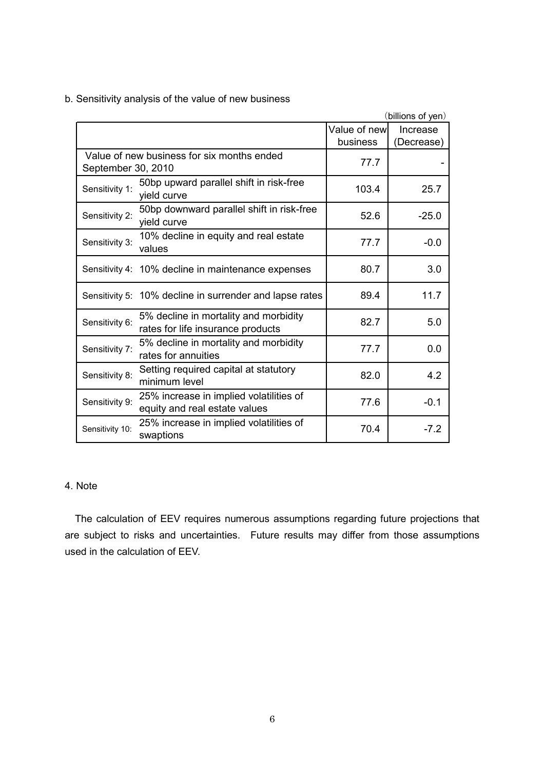|                    |                                                                            |               | (billions of yen) |
|--------------------|----------------------------------------------------------------------------|---------------|-------------------|
|                    |                                                                            | Value of newl | Increase          |
|                    |                                                                            | business      | (Decrease)        |
| September 30, 2010 | Value of new business for six months ended                                 | 77.7          |                   |
| Sensitivity 1:     | 50bp upward parallel shift in risk-free<br>yield curve                     | 103.4         | 25.7              |
| Sensitivity 2:     | 50bp downward parallel shift in risk-free<br>yield curve                   | 52.6          | $-25.0$           |
| Sensitivity 3:     | 10% decline in equity and real estate<br>values                            | 77.7          | $-0.0$            |
|                    | Sensitivity 4: 10% decline in maintenance expenses                         | 80.7          | 3.0               |
|                    | Sensitivity 5: 10% decline in surrender and lapse rates                    | 89.4          | 11.7              |
| Sensitivity 6:     | 5% decline in mortality and morbidity<br>rates for life insurance products | 82.7          | 5.0               |
| Sensitivity 7:     | 5% decline in mortality and morbidity<br>rates for annuities               | 77.7          | 0.0               |
| Sensitivity 8:     | Setting required capital at statutory<br>minimum level                     | 82.0          | 4.2               |
| Sensitivity 9:     | 25% increase in implied volatilities of<br>equity and real estate values   | 77.6          | $-0.1$            |
| Sensitivity 10:    | 25% increase in implied volatilities of<br>swaptions                       | 70.4          | $-7.2$            |

b. Sensitivity analysis of the value of new business

## 4. Note

The calculation of EEV requires numerous assumptions regarding future projections that are subject to risks and uncertainties. Future results may differ from those assumptions used in the calculation of EEV.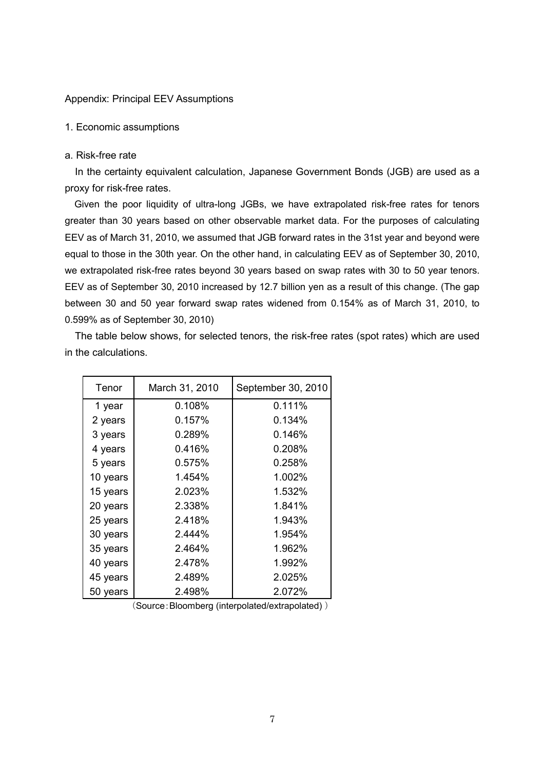#### Appendix: Principal EEV Assumptions

#### 1. Economic assumptions

### a. Risk-free rate

In the certainty equivalent calculation, Japanese Government Bonds (JGB) are used as a proxy for risk-free rates.

Given the poor liquidity of ultra-long JGBs, we have extrapolated risk-free rates for tenors greater than 30 years based on other observable market data. For the purposes of calculating EEV as of March 31, 2010, we assumed that JGB forward rates in the 31st year and beyond were equal to those in the 30th year. On the other hand, in calculating EEV as of September 30, 2010, we extrapolated risk-free rates beyond 30 years based on swap rates with 30 to 50 year tenors. EEV as of September 30, 2010 increased by 12.7 billion yen as a result of this change. (The gap between 30 and 50 year forward swap rates widened from 0.154% as of March 31, 2010, to 0.599% as of September 30, 2010)

The table below shows, for selected tenors, the risk-free rates (spot rates) which are used in the calculations.

| Tenor    | March 31, 2010 | September 30, 2010 |  |
|----------|----------------|--------------------|--|
| 1 year   | 0.108%         | 0.111%             |  |
| 2 years  | 0.157%         | 0.134%             |  |
| 3 years  | 0.289%         | 0.146%             |  |
| 4 years  | 0.416%         | 0.208%             |  |
| 5 years  | 0.575%         | 0.258%             |  |
| 10 years | 1.454%         | 1.002%             |  |
| 15 years | 2.023%         | 1.532%             |  |
| 20 years | 2.338%         | 1.841%             |  |
| 25 years | 2.418%         | 1.943%             |  |
| 30 years | 2.444%         | 1.954%             |  |
| 35 years | 2.464%         | 1.962%             |  |
| 40 years | 2.478%         | 1.992%             |  |
| 45 years | 2.489%         | 2.025%             |  |
| 50 years | 2.498%         | 2.072%             |  |

(Source:Bloomberg (interpolated/extrapolated) )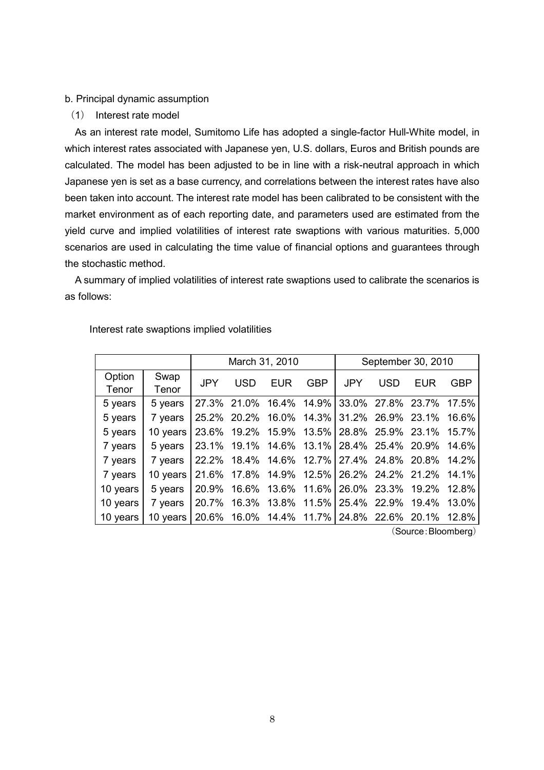#### b. Principal dynamic assumption

(1) Interest rate model

As an interest rate model, Sumitomo Life has adopted a single-factor Hull-White model, in which interest rates associated with Japanese yen, U.S. dollars, Euros and British pounds are calculated. The model has been adjusted to be in line with a risk-neutral approach in which Japanese yen is set as a base currency, and correlations between the interest rates have also been taken into account. The interest rate model has been calibrated to be consistent with the market environment as of each reporting date, and parameters used are estimated from the yield curve and implied volatilities of interest rate swaptions with various maturities. 5,000 scenarios are used in calculating the time value of financial options and guarantees through the stochastic method.

A summary of implied volatilities of interest rate swaptions used to calibrate the scenarios is as follows:

|          |          | March 31, 2010 |                                                 |     |            | September 30, 2010 |     |                                     |       |
|----------|----------|----------------|-------------------------------------------------|-----|------------|--------------------|-----|-------------------------------------|-------|
| Option   | Swap     | <b>JPY</b>     | USD                                             | EUR | <b>GBP</b> | <b>JPY</b>         | USD | EUR                                 | GBP   |
| Tenor    | Tenor    |                |                                                 |     |            |                    |     |                                     |       |
| 5 years  | 5 years  |                | 27.3% 21.0% 16.4% 14.9% 33.0% 27.8% 23.7% 17.5% |     |            |                    |     |                                     |       |
| 5 years  | 7 years  |                | 25.2% 20.2%                                     |     |            |                    |     | 16.0% 14.3% 31.2% 26.9% 23.1% 16.6% |       |
| 5 years  | 10 years | 23.6%          | 19.2%                                           |     |            |                    |     | 15.9% 13.5% 28.8% 25.9% 23.1%       | 15.7% |
| 7 years  | 5 years  |                | 23.1% 19.1%                                     |     |            |                    |     | 14.6% 13.1% 28.4% 25.4% 20.9% 14.6% |       |
| 7 years  | 7 years  |                | 22.2% 18.4% 14.6% 12.7% 27.4% 24.8% 20.8% 14.2% |     |            |                    |     |                                     |       |
| 7 years  | 10 years |                | 21.6% 17.8% 14.9% 12.5% 26.2% 24.2% 21.2% 14.1% |     |            |                    |     |                                     |       |
| 10 years | 5 years  | 20.9%          | 16.6%                                           |     |            |                    |     | 13.6% 11.6% 26.0% 23.3% 19.2% 12.8% |       |
| 10 years | 7 years  | 20.7%          |                                                 |     |            |                    |     | 16.3% 13.8% 11.5% 25.4% 22.9% 19.4% | 13.0% |
| 10 years | 10 years |                | 20.6% 16.0% 14.4% 11.7% 24.8% 22.6% 20.1% 12.8% |     |            |                    |     |                                     |       |

Interest rate swaptions implied volatilities

(Source:Bloomberg)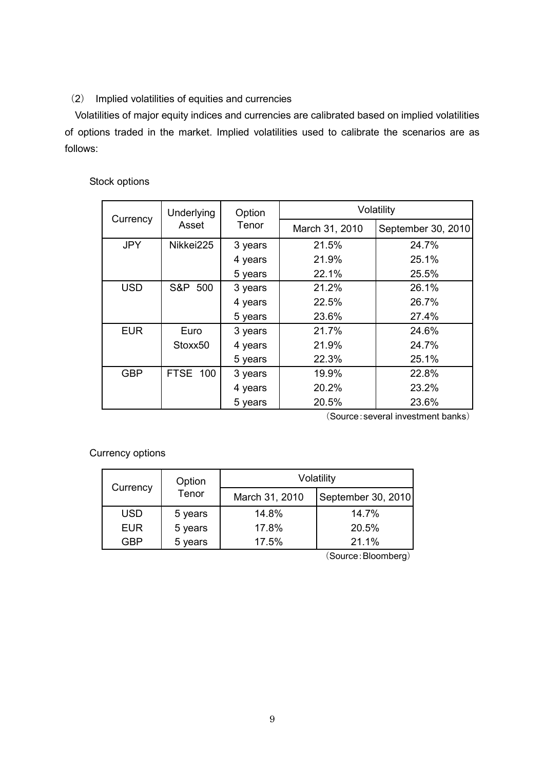## (2) Implied volatilities of equities and currencies

Volatilities of major equity indices and currencies are calibrated based on implied volatilities of options traded in the market. Implied volatilities used to calibrate the scenarios are as follows:

## Stock options

|                       | <b>Underlying</b> | Option  | Volatility     |                    |  |  |  |
|-----------------------|-------------------|---------|----------------|--------------------|--|--|--|
| Currency              | Asset             | Tenor   | March 31, 2010 | September 30, 2010 |  |  |  |
| <b>JPY</b>            | Nikkei225         | 3 years | 21.5%          | 24.7%              |  |  |  |
|                       |                   | 4 years | 21.9%          | 25.1%              |  |  |  |
|                       |                   | 5 years | 22.1%          | 25.5%              |  |  |  |
| S&P 500<br><b>USD</b> |                   | 3 years | 21.2%          | 26.1%              |  |  |  |
|                       |                   | 4 years | 22.5%          | 26.7%              |  |  |  |
|                       |                   | 5 years | 23.6%          | 27.4%              |  |  |  |
| <b>EUR</b>            | Euro              | 3 years | 21.7%          | 24.6%              |  |  |  |
|                       | Stoxx50           | 4 years | 21.9%          | 24.7%              |  |  |  |
|                       |                   | 5 years | 22.3%          | 25.1%              |  |  |  |
| <b>GBP</b>            | FTSE 100          | 3 years | 19.9%          | 22.8%              |  |  |  |
|                       |                   | 4 years | 20.2%          | 23.2%              |  |  |  |
|                       |                   | 5 years | 20.5%          | 23.6%              |  |  |  |

(Source:several investment banks)

Currency options

| Currency   | Option  | Volatility     |                    |  |  |  |  |
|------------|---------|----------------|--------------------|--|--|--|--|
|            | Tenor   | March 31, 2010 | September 30, 2010 |  |  |  |  |
| <b>USD</b> | 5 years | 14.8%          | 14.7%              |  |  |  |  |
| <b>EUR</b> | 5 years | 17.8%          | 20.5%              |  |  |  |  |
| GBP        | 5 years | 17.5%          | 21.1%              |  |  |  |  |

(Source:Bloomberg)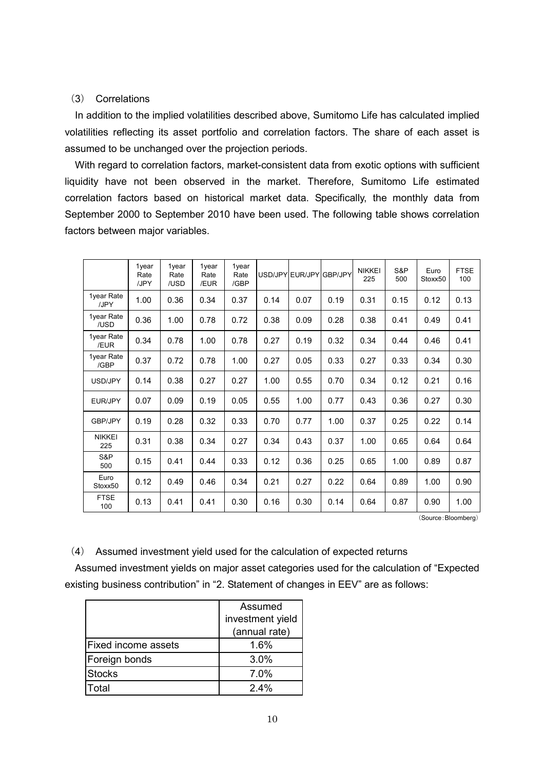## (3) Correlations

In addition to the implied volatilities described above, Sumitomo Life has calculated implied volatilities reflecting its asset portfolio and correlation factors. The share of each asset is assumed to be unchanged over the projection periods.

With regard to correlation factors, market-consistent data from exotic options with sufficient liquidity have not been observed in the market. Therefore, Sumitomo Life estimated correlation factors based on historical market data. Specifically, the monthly data from September 2000 to September 2010 have been used. The following table shows correlation factors between major variables.

|                      | 1year<br>Rate<br>/JPY | 1year<br>Rate<br>/USD | 1year<br>Rate<br>/EUR | 1year<br>Rate<br>/GBP | USD/JPY EUR/JPY |      | 'I GBP/JPY | <b>NIKKEI</b><br>225 | S&P<br>500 | Euro<br>Stoxx50 | <b>FTSE</b><br>100 |
|----------------------|-----------------------|-----------------------|-----------------------|-----------------------|-----------------|------|------------|----------------------|------------|-----------------|--------------------|
| 1year Rate<br>/JPY   | 1.00                  | 0.36                  | 0.34                  | 0.37                  | 0.14            | 0.07 | 0.19       | 0.31                 | 0.15       | 0.12            | 0.13               |
| 1year Rate<br>/USD   | 0.36                  | 1.00                  | 0.78                  | 0.72                  | 0.38            | 0.09 | 0.28       | 0.38                 | 0.41       | 0.49            | 0.41               |
| 1year Rate<br>/EUR   | 0.34                  | 0.78                  | 1.00                  | 0.78                  | 0.27            | 0.19 | 0.32       | 0.34                 | 0.44       | 0.46            | 0.41               |
| 1year Rate<br>/GBP   | 0.37                  | 0.72                  | 0.78                  | 1.00                  | 0.27            | 0.05 | 0.33       | 0.27                 | 0.33       | 0.34            | 0.30               |
| USD/JPY              | 0.14                  | 0.38                  | 0.27                  | 0.27                  | 1.00            | 0.55 | 0.70       | 0.34                 | 0.12       | 0.21            | 0.16               |
| EUR/JPY              | 0.07                  | 0.09                  | 0.19                  | 0.05                  | 0.55            | 1.00 | 0.77       | 0.43                 | 0.36       | 0.27            | 0.30               |
| <b>GBP/JPY</b>       | 0.19                  | 0.28                  | 0.32                  | 0.33                  | 0.70            | 0.77 | 1.00       | 0.37                 | 0.25       | 0.22            | 0.14               |
| <b>NIKKEI</b><br>225 | 0.31                  | 0.38                  | 0.34                  | 0.27                  | 0.34            | 0.43 | 0.37       | 1.00                 | 0.65       | 0.64            | 0.64               |
| S&P<br>500           | 0.15                  | 0.41                  | 0.44                  | 0.33                  | 0.12            | 0.36 | 0.25       | 0.65                 | 1.00       | 0.89            | 0.87               |
| Euro<br>Stoxx50      | 0.12                  | 0.49                  | 0.46                  | 0.34                  | 0.21            | 0.27 | 0.22       | 0.64                 | 0.89       | 1.00            | 0.90               |
| <b>FTSE</b><br>100   | 0.13                  | 0.41                  | 0.41                  | 0.30                  | 0.16            | 0.30 | 0.14       | 0.64                 | 0.87       | 0.90            | 1.00               |

(Source:Bloomberg)

(4) Assumed investment yield used for the calculation of expected returns

Assumed investment yields on major asset categories used for the calculation of "Expected existing business contribution" in "2. Statement of changes in EEV" are as follows:

|                            | Assumed          |  |  |  |
|----------------------------|------------------|--|--|--|
|                            | investment yield |  |  |  |
|                            | (annual rate)    |  |  |  |
| <b>Fixed income assets</b> | 1.6%             |  |  |  |
| Foreign bonds              | 3.0%             |  |  |  |
| <b>Stocks</b>              | 7.0%             |  |  |  |
| Total                      | $2.4\%$          |  |  |  |